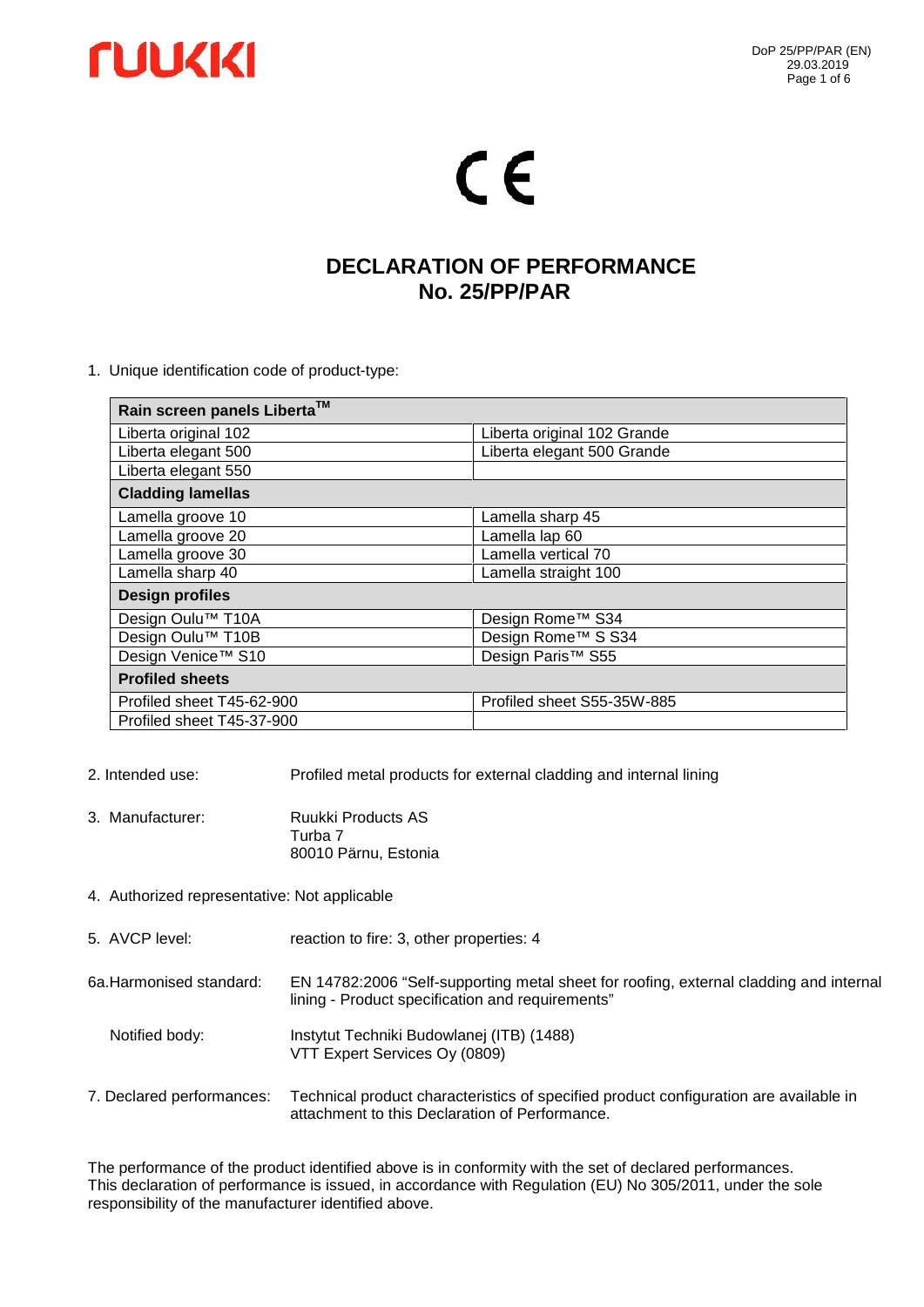

# CE

### **DECLARATION OF PERFORMANCE No. 25/PP/PAR**

1. Unique identification code of product-type:

| Rain screen panels Liberta™   |                               |  |  |  |
|-------------------------------|-------------------------------|--|--|--|
| Liberta original 102          | Liberta original 102 Grande   |  |  |  |
| Liberta elegant 500           | Liberta elegant 500 Grande    |  |  |  |
| Liberta elegant 550           |                               |  |  |  |
| <b>Cladding lamellas</b>      |                               |  |  |  |
| Lamella groove 10             | Lamella sharp 45              |  |  |  |
| Lamella groove 20             | Lamella lap 60                |  |  |  |
| Lamella groove 30             | Lamella vertical 70           |  |  |  |
| Lamella sharp 40              | Lamella straight 100          |  |  |  |
| <b>Design profiles</b>        |                               |  |  |  |
| Design Oulu <sup>™</sup> T10A | Design Rome™ S34              |  |  |  |
| Design Oulu <sup>™</sup> T10B | Design Rome™ S S34            |  |  |  |
| Design Venice™ S10            | Design Paris <sup>™</sup> S55 |  |  |  |
| <b>Profiled sheets</b>        |                               |  |  |  |
| Profiled sheet T45-62-900     | Profiled sheet S55-35W-885    |  |  |  |
| Profiled sheet T45-37-900     |                               |  |  |  |

- 2. Intended use: Profiled metal products for external cladding and internal lining
- 3. Manufacturer: Ruukki Products AS Turba 7 80010 Pärnu, Estonia
- 4. Authorized representative: Not applicable
- 5. AVCP level: reaction to fire: 3, other properties: 4
- 6a.Harmonised standard: EN 14782:2006 "Self-supporting metal sheet for roofing, external cladding and internal lining - Product specification and requirements"
	- Notified body: Instytut Techniki Budowlanej (ITB) (1488) VTT Expert Services Oy (0809)
- 7. Declared performances: Technical product characteristics of specified product configuration are available in attachment to this Declaration of Performance.

The performance of the product identified above is in conformity with the set of declared performances. This declaration of performance is issued, in accordance with Regulation (EU) No 305/2011, under the sole responsibility of the manufacturer identified above.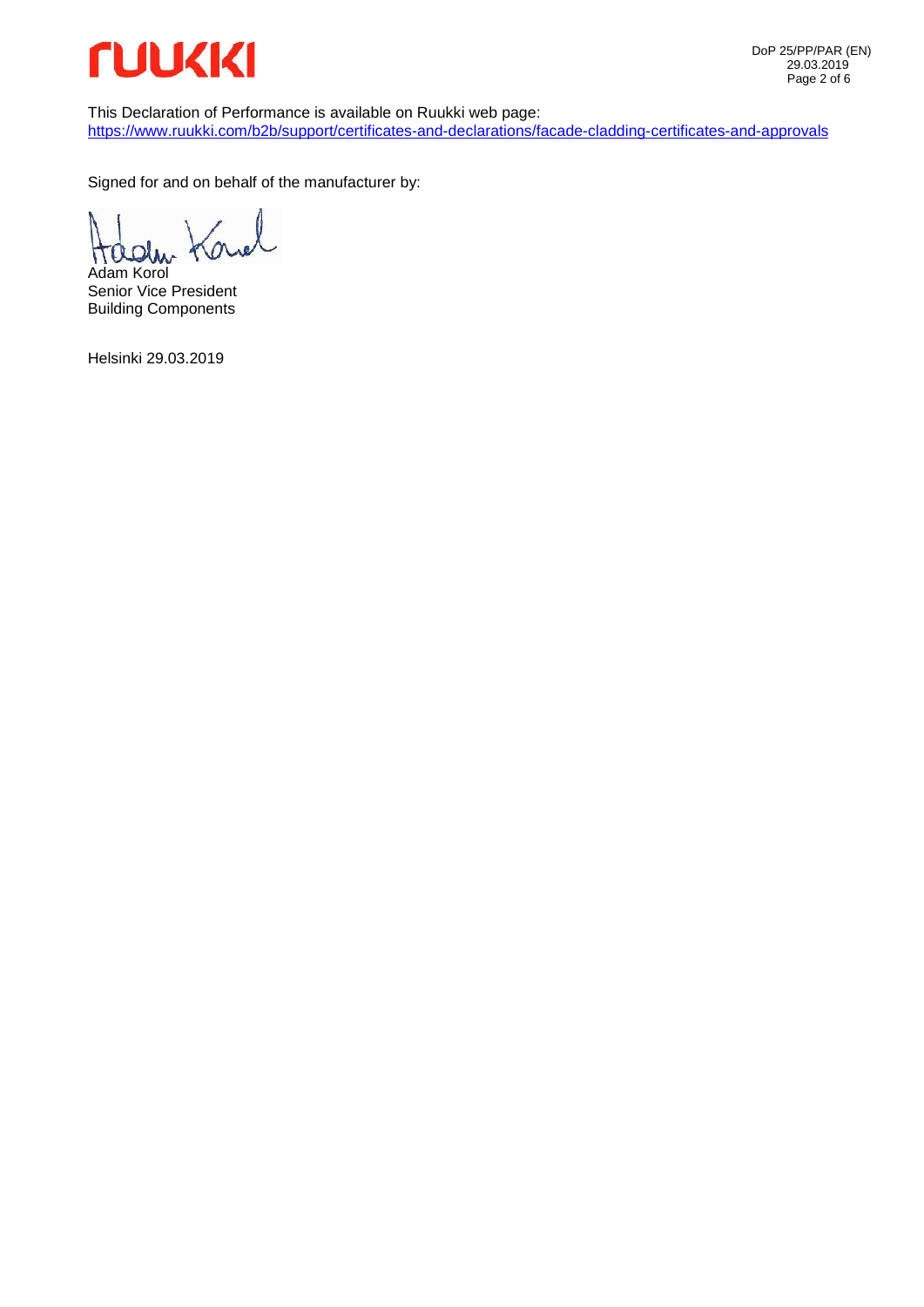

This Declaration of Performance is available on Ruukki web page: https://www.ruukki.com/b2b/support/certificates-and-declarations/facade-cladding-certificates-and-approvals

Signed for and on behalf of the manufacturer by:

Ø  $\Omega$ ٢ Adam Korol

Senior Vice President Building Components

Helsinki 29.03.2019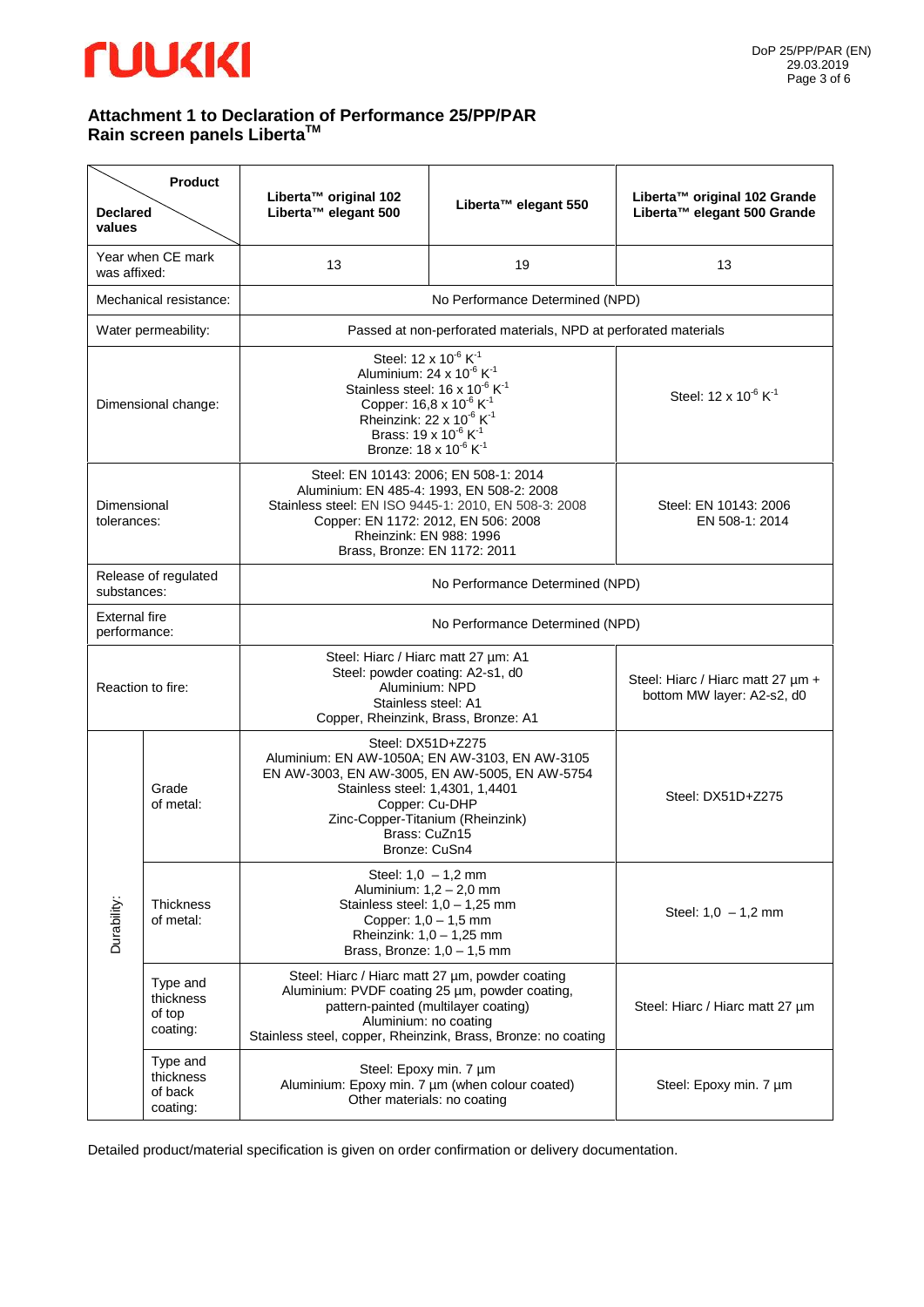### *<u>TUUKKI</u>*

#### **Attachment 1 to Declaration of Performance 25/PP/PAR Rain screen panels LibertaTM**

| <b>Declared</b><br>values            | <b>Product</b>                                                                                                                                                                | Liberta™ original 102<br>Liberta™ elegant 500                                                                                                                                                                                                                                                                                                               | Liberta™ elegant 550                                            | Liberta™ original 102 Grande<br>Liberta™ elegant 500 Grande |
|--------------------------------------|-------------------------------------------------------------------------------------------------------------------------------------------------------------------------------|-------------------------------------------------------------------------------------------------------------------------------------------------------------------------------------------------------------------------------------------------------------------------------------------------------------------------------------------------------------|-----------------------------------------------------------------|-------------------------------------------------------------|
| was affixed:                         | Year when CE mark                                                                                                                                                             | 13                                                                                                                                                                                                                                                                                                                                                          | 19                                                              | 13                                                          |
|                                      | Mechanical resistance:                                                                                                                                                        |                                                                                                                                                                                                                                                                                                                                                             | No Performance Determined (NPD)                                 |                                                             |
|                                      | Water permeability:                                                                                                                                                           | Passed at non-perforated materials, NPD at perforated materials                                                                                                                                                                                                                                                                                             |                                                                 |                                                             |
|                                      | Dimensional change:                                                                                                                                                           | Steel: 12 x 10 <sup>-6</sup> K <sup>-1</sup><br>Aluminium: 24 x $10^{-6}$ K <sup>-1</sup><br>Stainless steel: 16 x 10 <sup>-6</sup> K <sup>-1</sup><br>Copper: 16,8 x 10 <sup>-6</sup> K <sup>-1</sup><br>Rheinzink: 22 x 10 <sup>-6</sup> K <sup>-1</sup><br>Brass: 19 x 10 <sup>-6</sup> K <sup>-1</sup><br>Bronze: 18 x 10 <sup>-6</sup> K <sup>-1</sup> |                                                                 | Steel: 12 x 10 <sup>-6</sup> K <sup>-1</sup>                |
| Dimensional<br>tolerances:           |                                                                                                                                                                               | Steel: EN 10143: 2006; EN 508-1: 2014<br>Aluminium: EN 485-4: 1993, EN 508-2: 2008<br>Stainless steel: EN ISO 9445-1: 2010, EN 508-3: 2008<br>Copper: EN 1172: 2012, EN 506: 2008<br>Rheinzink: EN 988: 1996<br>Brass, Bronze: EN 1172: 2011                                                                                                                |                                                                 | Steel: EN 10143: 2006<br>EN 508-1: 2014                     |
| substances:                          | Release of regulated                                                                                                                                                          | No Performance Determined (NPD)                                                                                                                                                                                                                                                                                                                             |                                                                 |                                                             |
| <b>External fire</b><br>performance: |                                                                                                                                                                               | No Performance Determined (NPD)                                                                                                                                                                                                                                                                                                                             |                                                                 |                                                             |
|                                      | Steel: Hiarc / Hiarc matt 27 µm: A1<br>Steel: powder coating: A2-s1, d0<br>Aluminium: NPD<br>Reaction to fire:<br>Stainless steel: A1<br>Copper, Rheinzink, Brass, Bronze: A1 |                                                                                                                                                                                                                                                                                                                                                             | Steel: Hiarc / Hiarc matt 27 um +<br>bottom MW layer: A2-s2, d0 |                                                             |
| Durability:                          | Grade<br>of metal:                                                                                                                                                            | Steel: DX51D+Z275<br>Aluminium: EN AW-1050A; EN AW-3103, EN AW-3105<br>EN AW-3003, EN AW-3005, EN AW-5005, EN AW-5754<br>Stainless steel: 1,4301, 1,4401<br>Copper: Cu-DHP<br>Zinc-Copper-Titanium (Rheinzink)<br>Brass: CuZn15<br>Bronze: CuSn4                                                                                                            |                                                                 | Steel: DX51D+Z275                                           |
|                                      | Thickness<br>of metal:                                                                                                                                                        | Steel: $1,0 - 1,2$ mm<br>Aluminium: 1,2 - 2,0 mm<br>Stainless steel: $1,0 - 1,25$ mm<br>Copper: 1,0 - 1,5 mm<br>Rheinzink: $1,0 - 1,25$ mm<br>Brass, Bronze: $1,0 - 1,5$ mm                                                                                                                                                                                 |                                                                 | Steel: $1,0 - 1,2$ mm                                       |
|                                      | Type and<br>thickness<br>of top<br>coating:                                                                                                                                   | Steel: Hiarc / Hiarc matt 27 µm, powder coating<br>Aluminium: PVDF coating 25 µm, powder coating,<br>pattern-painted (multilayer coating)<br>Aluminium: no coating<br>Stainless steel, copper, Rheinzink, Brass, Bronze: no coating                                                                                                                         |                                                                 | Steel: Hiarc / Hiarc matt 27 µm                             |
|                                      | Type and<br>thickness<br>of back<br>coating:                                                                                                                                  | Steel: Epoxy min. 7 µm<br>Aluminium: Epoxy min. 7 um (when colour coated)<br>Other materials: no coating                                                                                                                                                                                                                                                    |                                                                 | Steel: Epoxy min. 7 µm                                      |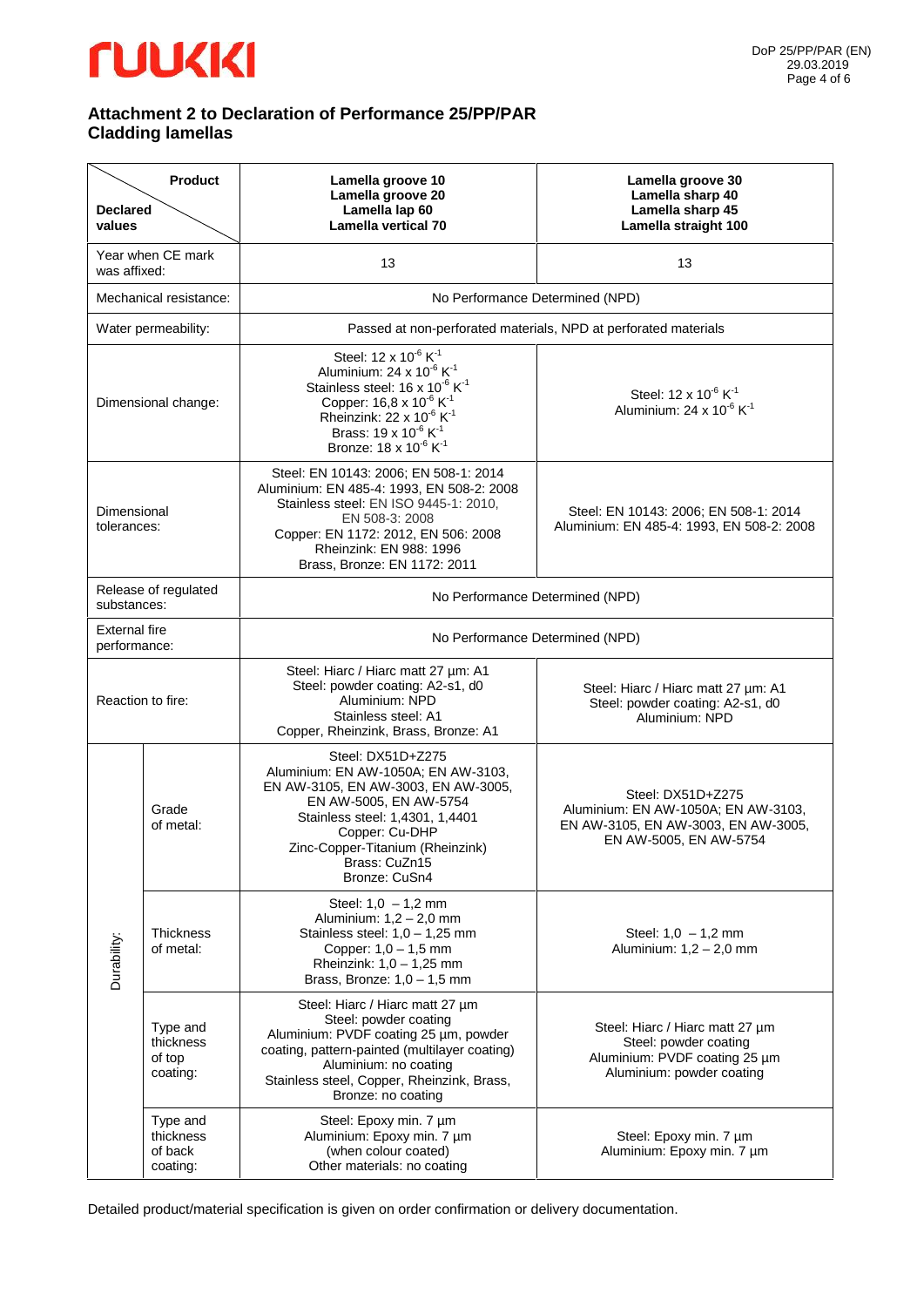## *<u>TUUKKI</u>*

#### **Attachment 2 to Declaration of Performance 25/PP/PAR Cladding lamellas**

| <b>Declared</b><br>values                                                                                                                                                     | <b>Product</b>                               | Lamella groove 10<br>Lamella groove 20<br>Lamella lap 60<br><b>Lamella vertical 70</b>                                                                                                                                                                                                                                                       | Lamella groove 30<br>Lamella sharp 40<br>Lamella sharp 45<br>Lamella straight 100                                         |
|-------------------------------------------------------------------------------------------------------------------------------------------------------------------------------|----------------------------------------------|----------------------------------------------------------------------------------------------------------------------------------------------------------------------------------------------------------------------------------------------------------------------------------------------------------------------------------------------|---------------------------------------------------------------------------------------------------------------------------|
| was affixed:                                                                                                                                                                  | Year when CE mark                            | 13                                                                                                                                                                                                                                                                                                                                           | 13                                                                                                                        |
|                                                                                                                                                                               | Mechanical resistance:                       |                                                                                                                                                                                                                                                                                                                                              | No Performance Determined (NPD)                                                                                           |
|                                                                                                                                                                               | Water permeability:                          |                                                                                                                                                                                                                                                                                                                                              | Passed at non-perforated materials, NPD at perforated materials                                                           |
| Dimensional change:                                                                                                                                                           |                                              | Steel: 12 x 10 <sup>-6</sup> K <sup>-1</sup><br>Aluminium: 24 x 10 $6$ K <sup>-1</sup><br>Stainless steel: $16 \times 10^{-6}$ K <sup>-1</sup><br>Copper: 16,8 x 10 <sup>-6</sup> K <sup>-1</sup><br>Rheinzink: 22 x 10 $^6$ K <sup>1</sup><br>Brass: 19 x 10 <sup>-6</sup> K <sup>-1</sup><br>Bronze: 18 x 10 <sup>-6</sup> K <sup>-1</sup> | Steel: 12 x 10 <sup>-6</sup> K <sup>-1</sup><br>Aluminium: 24 x 10 <sup>-6</sup> K <sup>-1</sup>                          |
| Dimensional<br>tolerances:                                                                                                                                                    |                                              | Steel: EN 10143: 2006; EN 508-1: 2014<br>Aluminium: EN 485-4: 1993, EN 508-2: 2008<br>Stainless steel: EN ISO 9445-1: 2010.<br>EN 508-3: 2008<br>Copper: EN 1172: 2012, EN 506: 2008<br>Rheinzink: EN 988: 1996<br>Brass, Bronze: EN 1172: 2011                                                                                              | Steel: EN 10143: 2006; EN 508-1: 2014<br>Aluminium: EN 485-4: 1993, EN 508-2: 2008                                        |
| substances:                                                                                                                                                                   | Release of regulated                         | No Performance Determined (NPD)                                                                                                                                                                                                                                                                                                              |                                                                                                                           |
| <b>External fire</b><br>performance:                                                                                                                                          |                                              | No Performance Determined (NPD)                                                                                                                                                                                                                                                                                                              |                                                                                                                           |
| Steel: Hiarc / Hiarc matt 27 µm: A1<br>Steel: powder coating: A2-s1, d0<br>Aluminium: NPD<br>Reaction to fire:<br>Stainless steel: A1<br>Copper, Rheinzink, Brass, Bronze: A1 |                                              | Steel: Hiarc / Hiarc matt 27 µm: A1<br>Steel: powder coating: A2-s1, d0<br>Aluminium: NPD                                                                                                                                                                                                                                                    |                                                                                                                           |
| Durability:                                                                                                                                                                   | Grade<br>of metal:                           | Steel: DX51D+Z275<br>Aluminium: EN AW-1050A; EN AW-3103,<br>EN AW-3105, EN AW-3003, EN AW-3005,<br>EN AW-5005, EN AW-5754<br>Stainless steel: 1,4301, 1,4401<br>Copper: Cu-DHP<br>Zinc-Copper-Titanium (Rheinzink)<br>Brass: CuZn15<br>Bronze: CuSn4                                                                                         | Steel: DX51D+Z275<br>Aluminium: EN AW-1050A; EN AW-3103,<br>EN AW-3105, EN AW-3003, EN AW-3005,<br>EN AW-5005, EN AW-5754 |
|                                                                                                                                                                               | <b>Thickness</b><br>of metal:                | Steel: $1,0 - 1,2$ mm<br>Aluminium: $1,2 - 2,0$ mm<br>Stainless steel: $1,0 - 1,25$ mm<br>Copper: 1,0 - 1,5 mm<br>Rheinzink: $1,0 - 1,25$ mm<br>Brass, Bronze: $1,0 - 1,5$ mm                                                                                                                                                                | Steel: $1,0 - 1,2$ mm<br>Aluminium: 1,2 - 2,0 mm                                                                          |
|                                                                                                                                                                               | Type and<br>thickness<br>of top<br>coating:  | Steel: Hiarc / Hiarc matt 27 µm<br>Steel: powder coating<br>Aluminium: PVDF coating 25 µm, powder<br>coating, pattern-painted (multilayer coating)<br>Aluminium: no coating<br>Stainless steel, Copper, Rheinzink, Brass,<br>Bronze: no coating                                                                                              | Steel: Hiarc / Hiarc matt 27 µm<br>Steel: powder coating<br>Aluminium: PVDF coating 25 um<br>Aluminium: powder coating    |
|                                                                                                                                                                               | Type and<br>thickness<br>of back<br>coating: | Steel: Epoxy min. 7 µm<br>Aluminium: Epoxy min. 7 µm<br>(when colour coated)<br>Other materials: no coating                                                                                                                                                                                                                                  | Steel: Epoxy min. 7 µm<br>Aluminium: Epoxy min. 7 µm                                                                      |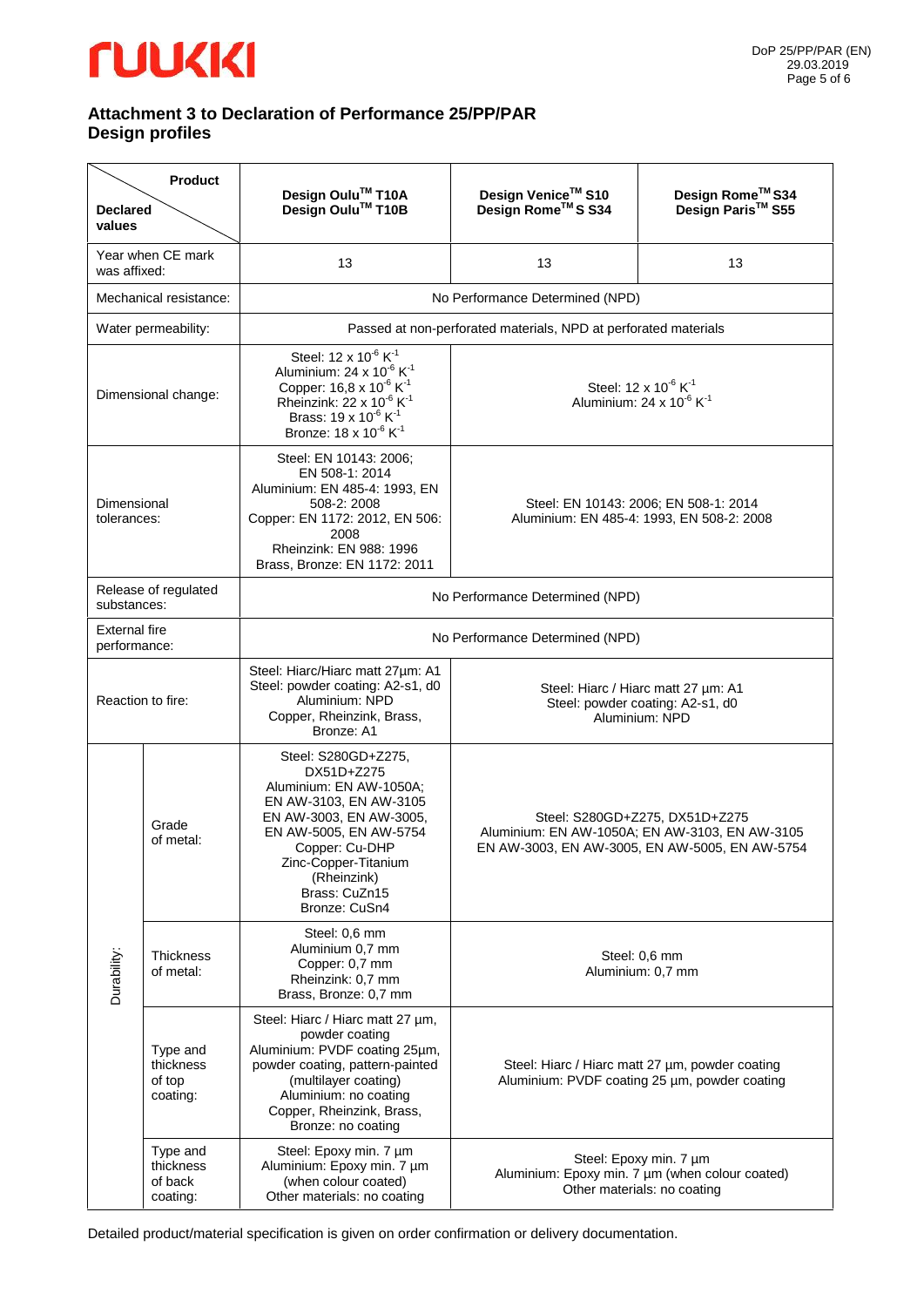## *<u>TUUKKI</u>*

### **Attachment 3 to Declaration of Performance 25/PP/PAR Design profiles**

| <b>Declared</b><br>values            | <b>Product</b>                               | Design Oulu <sup>™</sup> T10A<br>Design Oulu <sup>™</sup> T10B                                                                                                                                                                                                                                    | Design Venice™ S10<br>Design Rome™S S34                                                                                            | Design Rome™ S34<br>Design Paris <sup>™</sup> S55                                                        |  |
|--------------------------------------|----------------------------------------------|---------------------------------------------------------------------------------------------------------------------------------------------------------------------------------------------------------------------------------------------------------------------------------------------------|------------------------------------------------------------------------------------------------------------------------------------|----------------------------------------------------------------------------------------------------------|--|
| was affixed:                         | Year when CE mark                            | 13                                                                                                                                                                                                                                                                                                | 13                                                                                                                                 | 13                                                                                                       |  |
|                                      | Mechanical resistance:                       |                                                                                                                                                                                                                                                                                                   | No Performance Determined (NPD)                                                                                                    |                                                                                                          |  |
|                                      | Water permeability:                          | Passed at non-perforated materials, NPD at perforated materials                                                                                                                                                                                                                                   |                                                                                                                                    |                                                                                                          |  |
| Dimensional change:                  |                                              | Steel: 12 x 10 <sup>-6</sup> K <sup>-1</sup><br>Aluminium: 24 x 10 <sup>-6</sup> K <sup>-1</sup><br>Copper: 16,8 x 10 <sup>-6</sup> K <sup>-1</sup><br>Rheinzink: 22 x $10^{-6}$ K <sup>-1</sup><br>Brass: 19 x 10 <sup>-6</sup> K <sup>-1</sup><br>Bronze: 18 x 10 <sup>-6</sup> K <sup>-1</sup> | Steel: 12 x 10 <sup>-6</sup> K <sup>-1</sup><br>Aluminium: 24 x 10 $6$ K <sup>-1</sup>                                             |                                                                                                          |  |
| Dimensional<br>tolerances:           |                                              | Steel: EN 10143: 2006;<br>EN 508-1: 2014<br>Aluminium: EN 485-4: 1993, EN<br>508-2: 2008<br>Copper: EN 1172: 2012, EN 506:<br>2008<br>Rheinzink: EN 988: 1996<br>Brass, Bronze: EN 1172: 2011                                                                                                     | Steel: EN 10143: 2006; EN 508-1: 2014<br>Aluminium: EN 485-4: 1993, EN 508-2: 2008                                                 |                                                                                                          |  |
| substances:                          | Release of regulated                         | No Performance Determined (NPD)                                                                                                                                                                                                                                                                   |                                                                                                                                    |                                                                                                          |  |
| <b>External fire</b><br>performance: |                                              | No Performance Determined (NPD)                                                                                                                                                                                                                                                                   |                                                                                                                                    |                                                                                                          |  |
| Reaction to fire:                    |                                              | Steel: Hiarc/Hiarc matt 27um: A1<br>Steel: powder coating: A2-s1, d0<br>Aluminium: NPD<br>Copper, Rheinzink, Brass,<br>Bronze: A1                                                                                                                                                                 | Steel: Hiarc / Hiarc matt 27 µm: A1<br>Steel: powder coating: A2-s1, d0<br>Aluminium: NPD                                          |                                                                                                          |  |
| Durability:                          | Grade<br>of metal:                           | Steel: S280GD+Z275,<br>DX51D+Z275<br>Aluminium: EN AW-1050A;<br>EN AW-3103, EN AW-3105<br>EN AW-3003, EN AW-3005,<br>EN AW-5005, EN AW-5754<br>Copper: Cu-DHP<br>Zinc-Copper-Titanium<br>(Rheinzink)<br>Brass: CuZn15<br>Bronze: CuSn4                                                            | Steel: S280GD+Z275, DX51D+Z275<br>Aluminium: EN AW-1050A; EN AW-3103, EN AW-3105<br>EN AW-3003, EN AW-3005, EN AW-5005, EN AW-5754 |                                                                                                          |  |
|                                      | <b>Thickness</b><br>of metal:                | Steel: 0,6 mm<br>Aluminium 0,7 mm<br>Copper: 0,7 mm<br>Rheinzink: 0,7 mm<br>Brass, Bronze: 0,7 mm                                                                                                                                                                                                 | Steel: 0.6 mm<br>Aluminium: 0,7 mm                                                                                                 |                                                                                                          |  |
|                                      | Type and<br>thickness<br>of top<br>coating:  | Steel: Hiarc / Hiarc matt 27 µm,<br>powder coating<br>Aluminium: PVDF coating 25um,<br>powder coating, pattern-painted<br>(multilayer coating)<br>Aluminium: no coating<br>Copper, Rheinzink, Brass,<br>Bronze: no coating                                                                        | Steel: Hiarc / Hiarc matt 27 µm, powder coating<br>Aluminium: PVDF coating 25 um, powder coating                                   |                                                                                                          |  |
|                                      | Type and<br>thickness<br>of back<br>coating: | Steel: Epoxy min. 7 µm<br>Aluminium: Epoxy min. 7 µm<br>(when colour coated)<br>Other materials: no coating                                                                                                                                                                                       |                                                                                                                                    | Steel: Epoxy min. 7 um<br>Aluminium: Epoxy min. 7 um (when colour coated)<br>Other materials: no coating |  |